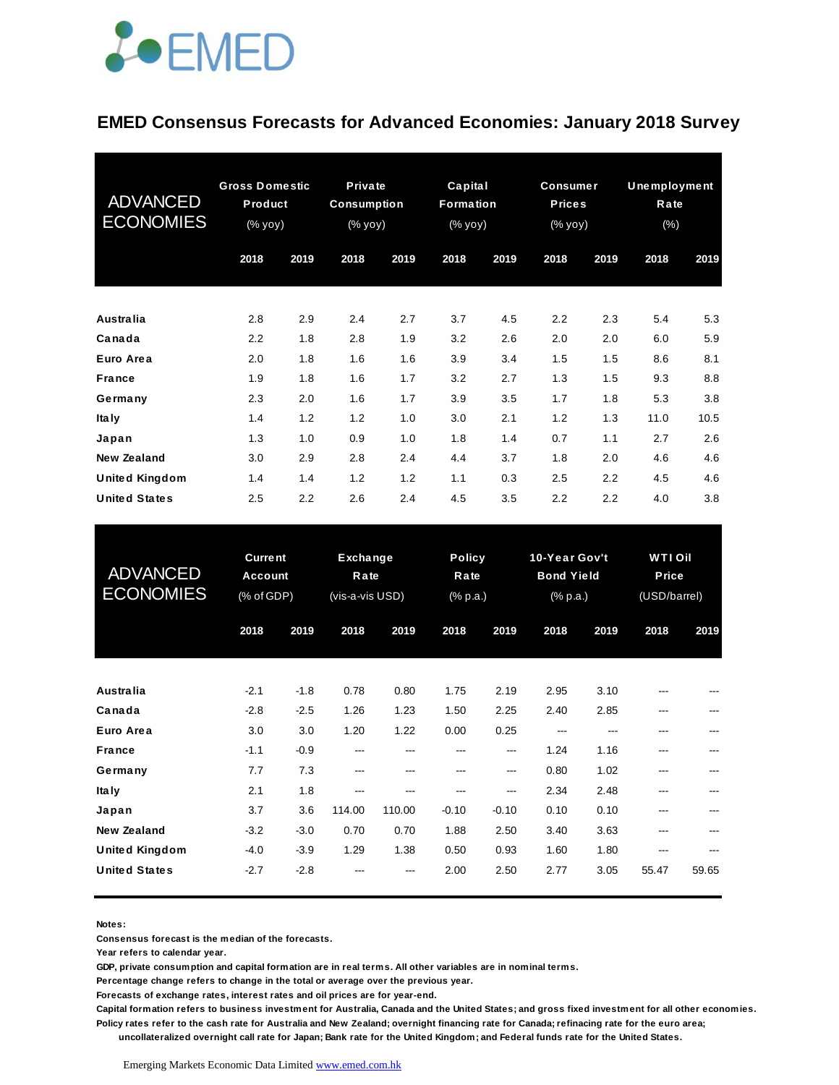

#### **EMED Consensus Forecasts for Advanced Economies: January 2018 Survey**

| <b>ADVANCED</b><br><b>ECONOMIES</b> | <b>Gross Domestic</b><br>Product<br>(% yoy) |      | Private<br><b>Consumption</b><br>$(% \mathbf{y}\mathbf{y})$ (% $\mathbf{y}\mathbf{0}\mathbf{y}$ ) |      | Capital<br>Formation<br>(% yoy) |      | <b>Consumer</b><br><b>Prices</b><br>(% yoy) |      | <b>Unemployment</b><br>Rate<br>$(\%)$ |      |
|-------------------------------------|---------------------------------------------|------|---------------------------------------------------------------------------------------------------|------|---------------------------------|------|---------------------------------------------|------|---------------------------------------|------|
|                                     | 2018                                        | 2019 | 2018                                                                                              | 2019 | 2018                            | 2019 | 2018                                        | 2019 | 2018                                  | 2019 |
| Australia                           | 2.8                                         | 2.9  | 2.4                                                                                               | 2.7  | 3.7                             | 4.5  | 2.2                                         | 2.3  | 5.4                                   | 5.3  |
| Canada                              | 2.2                                         | 1.8  | 2.8                                                                                               | 1.9  | 3.2                             | 2.6  | 2.0                                         | 2.0  | 6.0                                   | 5.9  |
| Euro Area                           | 2.0                                         | 1.8  | 1.6                                                                                               | 1.6  | 3.9                             | 3.4  | 1.5                                         | 1.5  | 8.6                                   | 8.1  |
| France                              | 1.9                                         | 1.8  | 1.6                                                                                               | 1.7  | 3.2                             | 2.7  | 1.3                                         | 1.5  | 9.3                                   | 8.8  |
| Germany                             | 2.3                                         | 2.0  | 1.6                                                                                               | 1.7  | 3.9                             | 3.5  | 1.7                                         | 1.8  | 5.3                                   | 3.8  |
| Ita Iy                              | 1.4                                         | 1.2  | 1.2                                                                                               | 1.0  | 3.0                             | 2.1  | 1.2                                         | 1.3  | 11.0                                  | 10.5 |
| Japan                               | 1.3                                         | 1.0  | 0.9                                                                                               | 1.0  | 1.8                             | 1.4  | 0.7                                         | 1.1  | 2.7                                   | 2.6  |
| New Zealand                         | 3.0                                         | 2.9  | 2.8                                                                                               | 2.4  | 4.4                             | 3.7  | 1.8                                         | 2.0  | 4.6                                   | 4.6  |
| <b>United Kingdom</b>               | 1.4                                         | 1.4  | 1.2                                                                                               | 1.2  | 1.1                             | 0.3  | 2.5                                         | 2.2  | 4.5                                   | 4.6  |
| <b>United States</b>                | 2.5                                         | 2.2  | 2.6                                                                                               | 2.4  | 4.5                             | 3.5  | 2.2                                         | 2.2  | 4.0                                   | 3.8  |

| <b>United States</b>                | 2.5                                            | 2.2    | 2.6                                 | 2.4    | 4.5                               | 3.5     | 2.2                                            | 2.2  | 4.0                                     | 3.8   |
|-------------------------------------|------------------------------------------------|--------|-------------------------------------|--------|-----------------------------------|---------|------------------------------------------------|------|-----------------------------------------|-------|
| <b>ADVANCED</b><br><b>ECONOMIES</b> | <b>Current</b><br><b>Account</b><br>(% of GDP) |        | Exchange<br>Rate<br>(vis-a-vis USD) |        | <b>Policy</b><br>Rate<br>(% p.a.) |         | 10-Year Gov't<br><b>Bond Yield</b><br>(% p.a.) |      | <b>WTI Oil</b><br>Price<br>(USD/barrel) |       |
|                                     | 2018                                           | 2019   | 2018                                | 2019   | 2018                              | 2019    | 2018                                           | 2019 | 2018                                    | 2019  |
| Australia                           | $-2.1$                                         | $-1.8$ | 0.78                                | 0.80   | 1.75                              | 2.19    | 2.95                                           | 3.10 |                                         |       |
| Canada                              | $-2.8$                                         | $-2.5$ | 1.26                                | 1.23   | 1.50                              | 2.25    | 2.40                                           | 2.85 | ---                                     |       |
| Euro Area                           | 3.0                                            | 3.0    | 1.20                                | 1.22   | 0.00                              | 0.25    | ---                                            | ---  | ---                                     |       |
| <b>France</b>                       | $-1.1$                                         | $-0.9$ | ---                                 | ---    | ---                               | ---     | 1.24                                           | 1.16 | ---                                     |       |
| Germany                             | 7.7                                            | 7.3    | $---$                               | ---    | ---                               | $---$   | 0.80                                           | 1.02 | ---                                     |       |
| Ita Iy                              | 2.1                                            | 1.8    | $---$                               | ---    | ---                               | ---     | 2.34                                           | 2.48 | ---                                     |       |
| Japan                               | 3.7                                            | 3.6    | 114.00                              | 110.00 | $-0.10$                           | $-0.10$ | 0.10                                           | 0.10 | ---                                     |       |
| <b>New Zealand</b>                  | $-3.2$                                         | $-3.0$ | 0.70                                | 0.70   | 1.88                              | 2.50    | 3.40                                           | 3.63 | ---                                     |       |
| <b>United Kingdom</b>               | $-4.0$                                         | $-3.9$ | 1.29                                | 1.38   | 0.50                              | 0.93    | 1.60                                           | 1.80 | ---                                     |       |
| <b>United States</b>                | $-2.7$                                         | $-2.8$ |                                     |        | 2.00                              | 2.50    | 2.77                                           | 3.05 | 55.47                                   | 59.65 |

**Notes:** 

**Consensus forecast is the median of the forecasts.**

**Year refers to calendar year.**

**GDP, private consumption and capital formation are in real terms. All other variables are in nominal terms.**

**Percentage change refers to change in the total or average over the previous year.**

**Forecasts of exchange rates, interest rates and oil prices are for year-end.**

**Capital formation refers to business investment for Australia, Canada and the United States; and gross fixed investment for all other economies. Policy rates refer to the cash rate for Australia and New Zealand; overnight financing rate for Canada; refinacing rate for the euro area;** 

 **uncollateralized overnight call rate for Japan; Bank rate for the United Kingdom; and Federal funds rate for the United States.**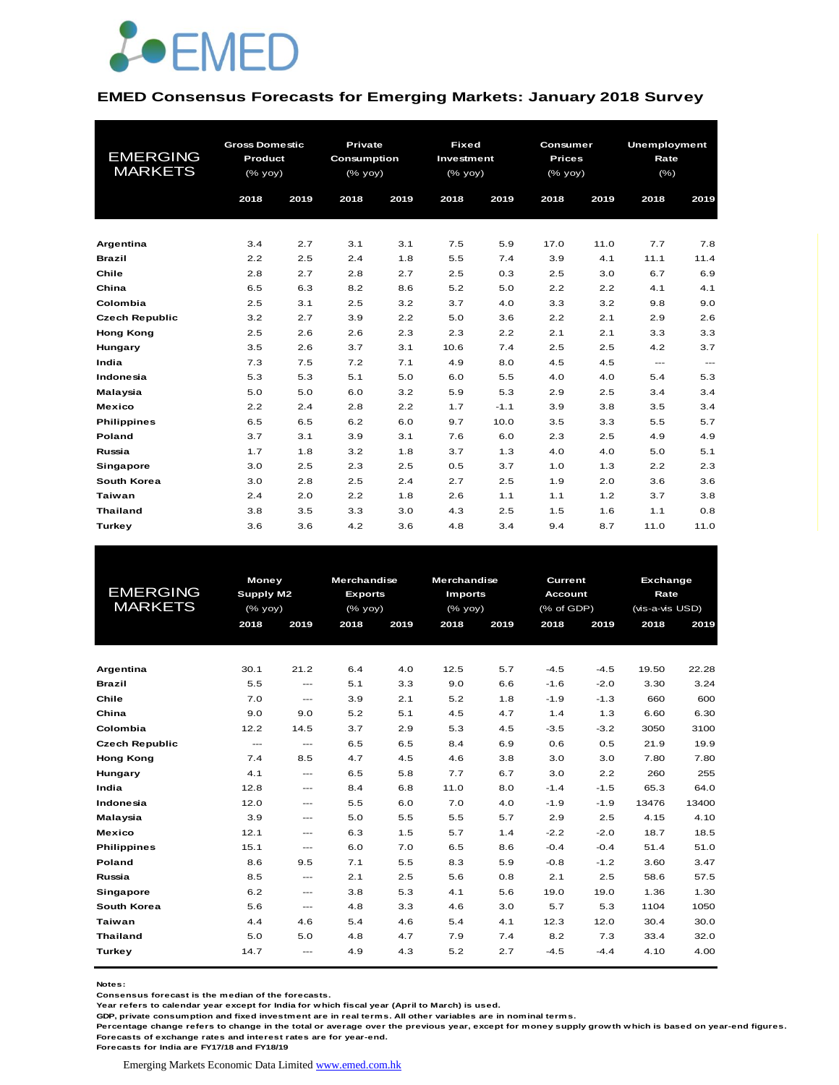

#### **EMED Consensus Forecasts for Emerging Markets: January 2018 Survey**

| <b>EMERGING</b><br><b>MARKETS</b> | <b>Gross Domestic</b><br>Product<br>(% yoy)<br>2018<br>2019 |     | <b>Private</b><br>Consumption<br>(% yoy)<br>2019<br>2018 |     | <b>Fixed</b><br>Investment<br>$(\%$ yoy)<br>2018<br>2019 |        | Consumer<br><b>Prices</b><br>(% yoy)<br>2019<br>2018 |      | <b>Unemployment</b><br>Rate<br>$(\% )$<br>2019<br>2018 |       |
|-----------------------------------|-------------------------------------------------------------|-----|----------------------------------------------------------|-----|----------------------------------------------------------|--------|------------------------------------------------------|------|--------------------------------------------------------|-------|
|                                   |                                                             |     |                                                          |     |                                                          |        |                                                      |      |                                                        |       |
| Argentina                         | 3.4                                                         | 2.7 | 3.1                                                      | 3.1 | 7.5                                                      | 5.9    | 17.0                                                 | 11.0 | 7.7                                                    | 7.8   |
| <b>Brazil</b>                     | 2.2                                                         | 2.5 | 2.4                                                      | 1.8 | 5.5                                                      | 7.4    | 3.9                                                  | 4.1  | 11.1                                                   | 11.4  |
| Chile                             | 2.8                                                         | 2.7 | 2.8                                                      | 2.7 | 2.5                                                      | 0.3    | 2.5                                                  | 3.0  | 6.7                                                    | 6.9   |
| China                             | 6.5                                                         | 6.3 | 8.2                                                      | 8.6 | 5.2                                                      | 5.0    | 2.2                                                  | 2.2  | 4.1                                                    | 4.1   |
| Colombia                          | 2.5                                                         | 3.1 | 2.5                                                      | 3.2 | 3.7                                                      | 4.0    | 3.3                                                  | 3.2  | 9.8                                                    | 9.0   |
| <b>Czech Republic</b>             | 3.2                                                         | 2.7 | 3.9                                                      | 2.2 | 5.0                                                      | 3.6    | 2.2                                                  | 2.1  | 2.9                                                    | 2.6   |
| <b>Hong Kong</b>                  | 2.5                                                         | 2.6 | 2.6                                                      | 2.3 | 2.3                                                      | 2.2    | 2.1                                                  | 2.1  | 3.3                                                    | 3.3   |
| Hungary                           | 3.5                                                         | 2.6 | 3.7                                                      | 3.1 | 10.6                                                     | 7.4    | 2.5                                                  | 2.5  | 4.2                                                    | 3.7   |
| India                             | 7.3                                                         | 7.5 | 7.2                                                      | 7.1 | 4.9                                                      | 8.0    | 4.5                                                  | 4.5  | $\qquad \qquad \cdots$                                 | $---$ |
| Indonesia                         | 5.3                                                         | 5.3 | 5.1                                                      | 5.0 | 6.0                                                      | 5.5    | 4.0                                                  | 4.0  | 5.4                                                    | 5.3   |
| Malaysia                          | 5.0                                                         | 5.0 | 6.0                                                      | 3.2 | 5.9                                                      | 5.3    | 2.9                                                  | 2.5  | 3.4                                                    | 3.4   |
| <b>Mexico</b>                     | 2.2                                                         | 2.4 | 2.8                                                      | 2.2 | 1.7                                                      | $-1.1$ | 3.9                                                  | 3.8  | 3.5                                                    | 3.4   |
| <b>Philippines</b>                | 6.5                                                         | 6.5 | 6.2                                                      | 6.0 | 9.7                                                      | 10.0   | 3.5                                                  | 3.3  | 5.5                                                    | 5.7   |
| Poland                            | 3.7                                                         | 3.1 | 3.9                                                      | 3.1 | 7.6                                                      | 6.0    | 2.3                                                  | 2.5  | 4.9                                                    | 4.9   |
| Russia                            | 1.7                                                         | 1.8 | 3.2                                                      | 1.8 | 3.7                                                      | 1.3    | 4.0                                                  | 4.0  | 5.0                                                    | 5.1   |
| <b>Singapore</b>                  | 3.0                                                         | 2.5 | 2.3                                                      | 2.5 | 0.5                                                      | 3.7    | 1.0                                                  | 1.3  | 2.2                                                    | 2.3   |
| <b>South Korea</b>                | 3.0                                                         | 2.8 | 2.5                                                      | 2.4 | 2.7                                                      | 2.5    | 1.9                                                  | 2.0  | 3.6                                                    | 3.6   |
| <b>Taiwan</b>                     | 2.4                                                         | 2.0 | 2.2                                                      | 1.8 | 2.6                                                      | 1.1    | 1.1                                                  | 1.2  | 3.7                                                    | 3.8   |
| <b>Thailand</b>                   | 3.8                                                         | 3.5 | 3.3                                                      | 3.0 | 4.3                                                      | 2.5    | 1.5                                                  | 1.6  | 1.1                                                    | 0.8   |
| <b>Turkey</b>                     | 3.6                                                         | 3.6 | 4.2                                                      | 3.6 | 4.8                                                      | 3.4    | 9.4                                                  | 8.7  | 11.0                                                   | 11.0  |

| <b>EMERGING</b><br><b>MARKETS</b> | Money<br>Supply M2<br>$(%$ (% yoy)<br>2018 | 2019                                | <b>Merchandise</b><br><b>Exports</b><br>$(%$ (% yoy)<br>2018 | 2019 | <b>Merchandise</b><br><b>Imports</b><br>$(%$ (% yoy)<br>2018 | 2019 | Current<br><b>Account</b><br>(% of GDP)<br>2018 | 2019   | Exchange<br>Rate<br>(vis-a-vis USD)<br>2018 | 2019  |
|-----------------------------------|--------------------------------------------|-------------------------------------|--------------------------------------------------------------|------|--------------------------------------------------------------|------|-------------------------------------------------|--------|---------------------------------------------|-------|
| Argentina                         | 30.1                                       | 21.2                                | 6.4                                                          | 4.0  | 12.5                                                         | 5.7  | $-4.5$                                          | $-4.5$ | 19.50                                       | 22.28 |
| <b>Brazil</b>                     | 5.5                                        | $\qquad \qquad -$                   | 5.1                                                          | 3.3  | 9.0                                                          | 6.6  | $-1.6$                                          | $-2.0$ | 3.30                                        | 3.24  |
| Chile                             | 7.0                                        | $\hspace{0.05cm}---\hspace{0.05cm}$ | 3.9                                                          | 2.1  | 5.2                                                          | 1.8  | $-1.9$                                          | $-1.3$ | 660                                         | 600   |
| China                             | 9.0                                        | 9.0                                 | 5.2                                                          | 5.1  | 4.5                                                          | 4.7  | 1.4                                             | 1.3    | 6.60                                        | 6.30  |
| Colombia                          | 12.2                                       | 14.5                                | 3.7                                                          | 2.9  | 5.3                                                          | 4.5  | $-3.5$                                          | $-3.2$ | 3050                                        | 3100  |
| <b>Czech Republic</b>             | $\qquad \qquad -$                          | $\qquad \qquad -$                   | 6.5                                                          | 6.5  | 8.4                                                          | 6.9  | 0.6                                             | 0.5    | 21.9                                        | 19.9  |
| <b>Hong Kong</b>                  | 7.4                                        | 8.5                                 | 4.7                                                          | 4.5  | 4.6                                                          | 3.8  | 3.0                                             | 3.0    | 7.80                                        | 7.80  |
| Hungary                           | 4.1                                        | $\cdots$                            | 6.5                                                          | 5.8  | 7.7                                                          | 6.7  | 3.0                                             | 2.2    | 260                                         | 255   |
| India                             | 12.8                                       | $\hspace{0.05cm}---\hspace{0.05cm}$ | 8.4                                                          | 6.8  | 11.0                                                         | 8.0  | $-1.4$                                          | $-1.5$ | 65.3                                        | 64.0  |
| Indonesia                         | 12.0                                       | $\qquad \qquad -\qquad$             | 5.5                                                          | 6.0  | 7.0                                                          | 4.0  | $-1.9$                                          | $-1.9$ | 13476                                       | 13400 |
| Malaysia                          | 3.9                                        | $\qquad \qquad -$                   | 5.0                                                          | 5.5  | 5.5                                                          | 5.7  | 2.9                                             | 2.5    | 4.15                                        | 4.10  |
| <b>Mexico</b>                     | 12.1                                       | $\hspace{0.05cm}---\hspace{0.05cm}$ | 6.3                                                          | 1.5  | 5.7                                                          | 1.4  | $-2.2$                                          | $-2.0$ | 18.7                                        | 18.5  |
| <b>Philippines</b>                | 15.1                                       | $\hspace{0.05cm}---\hspace{0.05cm}$ | 6.0                                                          | 7.0  | 6.5                                                          | 8.6  | $-0.4$                                          | $-0.4$ | 51.4                                        | 51.0  |
| Poland                            | 8.6                                        | 9.5                                 | 7.1                                                          | 5.5  | 8.3                                                          | 5.9  | $-0.8$                                          | $-1.2$ | 3.60                                        | 3.47  |
| Russia                            | 8.5                                        | $\qquad \qquad -$                   | 2.1                                                          | 2.5  | 5.6                                                          | 0.8  | 2.1                                             | 2.5    | 58.6                                        | 57.5  |
| Singapore                         | 6.2                                        | $\cdots$                            | 3.8                                                          | 5.3  | 4.1                                                          | 5.6  | 19.0                                            | 19.0   | 1.36                                        | 1.30  |
| <b>South Korea</b>                | 5.6                                        | $\hspace{0.05cm}---\hspace{0.05cm}$ | 4.8                                                          | 3.3  | 4.6                                                          | 3.0  | 5.7                                             | 5.3    | 1104                                        | 1050  |
| Taiwan                            | 4.4                                        | 4.6                                 | 5.4                                                          | 4.6  | 5.4                                                          | 4.1  | 12.3                                            | 12.0   | 30.4                                        | 30.0  |
| <b>Thailand</b>                   | 5.0                                        | 5.0                                 | 4.8                                                          | 4.7  | 7.9                                                          | 7.4  | 8.2                                             | 7.3    | 33.4                                        | 32.0  |
| Turkey                            | 14.7                                       | $\qquad \qquad -\qquad$             | 4.9                                                          | 4.3  | 5.2                                                          | 2.7  | $-4.5$                                          | $-4.4$ | 4.10                                        | 4.00  |

**Notes:** 

**Consensus forecast is the median of the forecasts.**

**Year refers to calendar year except for India for which fiscal year (April to March) is used.**

**GDP, private consumption and fixed investment are in real terms. All other variables are in nominal terms.**

**Percentage change refers to change in the total or average over the previous year, except for money supply growth which is based on year-end figures. Forecasts of exchange rates and interest rates are for year-end.**

**Forecasts for India are FY17/18 and FY18/19**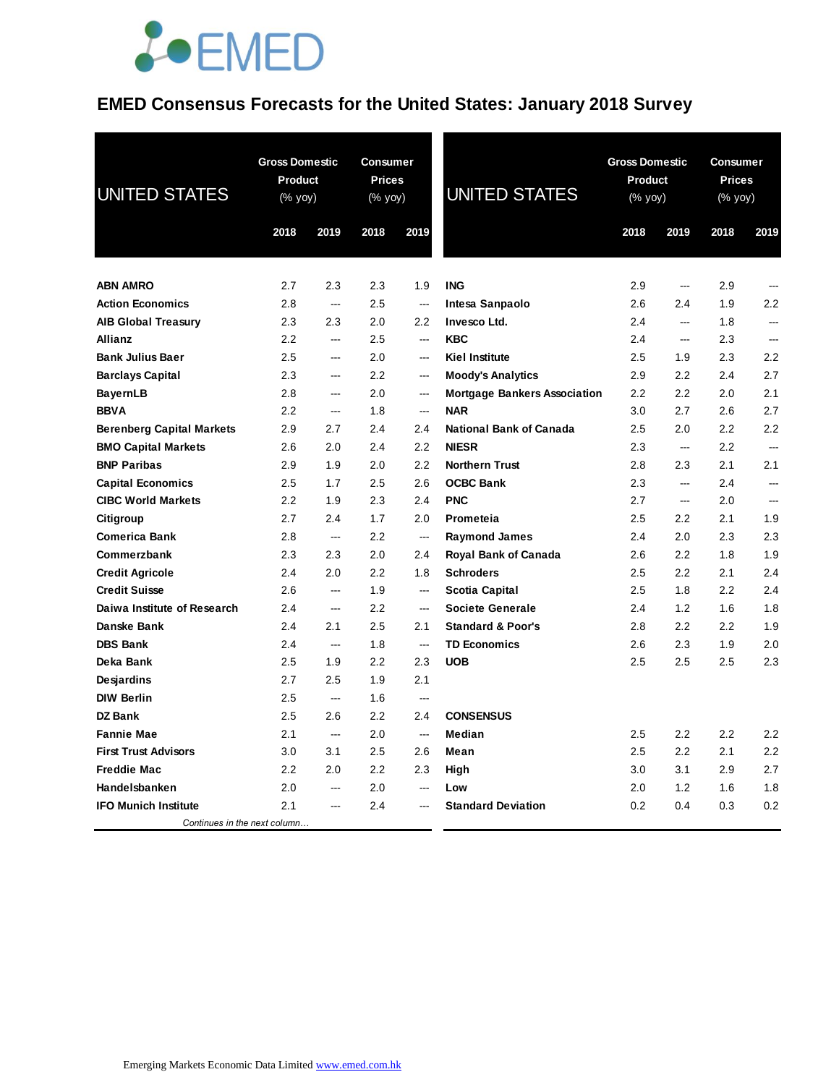### **EMED Consensus Forecasts for the United States: January 2018 Survey**

| <b>UNITED STATES</b>             | <b>Gross Domestic</b><br><b>Product</b><br>$(% \mathsf{Y}^{\prime }\mathsf{Y}^{\prime })$ (% $\mathsf{Y}^{\prime }\mathsf{Y}^{\prime }\mathsf{Y}^{\prime })$ |                          | <b>Consumer</b><br><b>Prices</b><br>(% yoy) |                          | <b>UNITED STATES</b>                | <b>Gross Domestic</b><br><b>Product</b><br>(% yoy) |                          | <b>Consumer</b><br><b>Prices</b><br>$(% \mathsf{Y}^{\prime }\mathsf{Y}^{\prime })$ (% $\mathsf{Y}^{\prime }\mathsf{Y}^{\prime }\mathsf{Y}^{\prime })$ |                          |
|----------------------------------|--------------------------------------------------------------------------------------------------------------------------------------------------------------|--------------------------|---------------------------------------------|--------------------------|-------------------------------------|----------------------------------------------------|--------------------------|-------------------------------------------------------------------------------------------------------------------------------------------------------|--------------------------|
|                                  | 2018                                                                                                                                                         | 2019                     | 2018                                        | 2019                     |                                     | 2018                                               | 2019                     | 2018                                                                                                                                                  | 2019                     |
| <b>ABN AMRO</b>                  | 2.7                                                                                                                                                          | 2.3                      | 2.3                                         | 1.9                      | <b>ING</b>                          | 2.9                                                | $\overline{\phantom{a}}$ | 2.9                                                                                                                                                   | ---                      |
| <b>Action Economics</b>          | 2.8                                                                                                                                                          | ---                      | 2.5                                         | $\sim$                   | Intesa Sanpaolo                     | 2.6                                                | 2.4                      | 1.9                                                                                                                                                   | 2.2                      |
| <b>AIB Global Treasury</b>       | 2.3                                                                                                                                                          | 2.3                      | 2.0                                         | 2.2                      | Invesco Ltd.                        | 2.4                                                | ---                      | 1.8                                                                                                                                                   |                          |
| <b>Allianz</b>                   | 2.2                                                                                                                                                          | ---                      | 2.5                                         | ---                      | <b>KBC</b>                          | 2.4                                                | ---                      | 2.3                                                                                                                                                   |                          |
| <b>Bank Julius Baer</b>          | 2.5                                                                                                                                                          | $\sim$                   | 2.0                                         | $\sim$                   | <b>Kiel Institute</b>               | 2.5                                                | 1.9                      | 2.3                                                                                                                                                   | 2.2                      |
| <b>Barclays Capital</b>          | 2.3                                                                                                                                                          | <u>.</u>                 | 2.2                                         | $\sim$                   | <b>Moody's Analytics</b>            | 2.9                                                | 2.2                      | 2.4                                                                                                                                                   | 2.7                      |
| <b>BayernLB</b>                  | 2.8                                                                                                                                                          | $\overline{a}$           | 2.0                                         | $\sim$                   | <b>Mortgage Bankers Association</b> | 2.2                                                | 2.2                      | 2.0                                                                                                                                                   | 2.1                      |
| <b>BBVA</b>                      | 2.2                                                                                                                                                          | $\overline{\phantom{a}}$ | 1.8                                         | $\sim$                   | <b>NAR</b>                          | 3.0                                                | 2.7                      | 2.6                                                                                                                                                   | 2.7                      |
| <b>Berenberg Capital Markets</b> | 2.9                                                                                                                                                          | 2.7                      | 2.4                                         | 2.4                      | <b>National Bank of Canada</b>      | 2.5                                                | 2.0                      | 2.2                                                                                                                                                   | 2.2                      |
| <b>BMO Capital Markets</b>       | 2.6                                                                                                                                                          | 2.0                      | 2.4                                         | 2.2                      | <b>NIESR</b>                        | 2.3                                                | ---                      | 2.2                                                                                                                                                   | ---                      |
| <b>BNP Paribas</b>               | 2.9                                                                                                                                                          | 1.9                      | 2.0                                         | 2.2                      | <b>Northern Trust</b>               | 2.8                                                | 2.3                      | 2.1                                                                                                                                                   | 2.1                      |
| <b>Capital Economics</b>         | 2.5                                                                                                                                                          | 1.7                      | 2.5                                         | 2.6                      | <b>OCBC Bank</b>                    | 2.3                                                | $\overline{\phantom{a}}$ | 2.4                                                                                                                                                   | $\overline{\phantom{a}}$ |
| <b>CIBC World Markets</b>        | 2.2                                                                                                                                                          | 1.9                      | 2.3                                         | 2.4                      | <b>PNC</b>                          | 2.7                                                | $\sim$                   | 2.0                                                                                                                                                   | <u>.</u>                 |
| Citigroup                        | 2.7                                                                                                                                                          | 2.4                      | 1.7                                         | 2.0                      | Prometeia                           | 2.5                                                | 2.2                      | 2.1                                                                                                                                                   | 1.9                      |
| <b>Comerica Bank</b>             | 2.8                                                                                                                                                          | ---                      | 2.2                                         | $\overline{\phantom{a}}$ | <b>Raymond James</b>                | 2.4                                                | 2.0                      | 2.3                                                                                                                                                   | 2.3                      |
| Commerzbank                      | 2.3                                                                                                                                                          | 2.3                      | 2.0                                         | 2.4                      | <b>Royal Bank of Canada</b>         | 2.6                                                | 2.2                      | 1.8                                                                                                                                                   | 1.9                      |
| <b>Credit Agricole</b>           | 2.4                                                                                                                                                          | 2.0                      | 2.2                                         | 1.8                      | <b>Schroders</b>                    | 2.5                                                | 2.2                      | 2.1                                                                                                                                                   | 2.4                      |
| <b>Credit Suisse</b>             | 2.6                                                                                                                                                          | $\sim$                   | 1.9                                         | ---                      | <b>Scotia Capital</b>               | 2.5                                                | 1.8                      | 2.2                                                                                                                                                   | 2.4                      |
| Daiwa Institute of Research      | 2.4                                                                                                                                                          | ---                      | 2.2                                         | $\sim$                   | <b>Societe Generale</b>             | 2.4                                                | 1.2                      | 1.6                                                                                                                                                   | 1.8                      |
| Danske Bank                      | 2.4                                                                                                                                                          | 2.1                      | 2.5                                         | 2.1                      | <b>Standard &amp; Poor's</b>        | 2.8                                                | 2.2                      | 2.2                                                                                                                                                   | 1.9                      |
| <b>DBS Bank</b>                  | 2.4                                                                                                                                                          | $\sim$                   | 1.8                                         | ---                      | <b>TD Economics</b>                 | 2.6                                                | 2.3                      | 1.9                                                                                                                                                   | 2.0                      |
| Deka Bank                        | 2.5                                                                                                                                                          | 1.9                      | 2.2                                         | 2.3                      | <b>UOB</b>                          | 2.5                                                | 2.5                      | 2.5                                                                                                                                                   | 2.3                      |
| Desjardins                       | 2.7                                                                                                                                                          | 2.5                      | 1.9                                         | 2.1                      |                                     |                                                    |                          |                                                                                                                                                       |                          |
| <b>DIW Berlin</b>                | 2.5                                                                                                                                                          | $\overline{\phantom{a}}$ | 1.6                                         | $\sim$                   |                                     |                                                    |                          |                                                                                                                                                       |                          |
| <b>DZ Bank</b>                   | 2.5                                                                                                                                                          | 2.6                      | 2.2                                         | 2.4                      | <b>CONSENSUS</b>                    |                                                    |                          |                                                                                                                                                       |                          |
| <b>Fannie Mae</b>                | 2.1                                                                                                                                                          | ---                      | 2.0                                         | $\overline{\phantom{a}}$ | Median                              | 2.5                                                | 2.2                      | 2.2                                                                                                                                                   | 2.2                      |
| <b>First Trust Advisors</b>      | 3.0                                                                                                                                                          | 3.1                      | 2.5                                         | 2.6                      | Mean                                | 2.5                                                | 2.2                      | 2.1                                                                                                                                                   | 2.2                      |
| <b>Freddie Mac</b>               | 2.2                                                                                                                                                          | 2.0                      | $2.2\,$                                     | 2.3                      | High                                | 3.0                                                | 3.1                      | 2.9                                                                                                                                                   | 2.7                      |
| Handelsbanken                    | 2.0                                                                                                                                                          | <u>.</u>                 | 2.0                                         | $\sim$                   | Low                                 | 2.0                                                | 1.2                      | 1.6                                                                                                                                                   | 1.8                      |
| <b>IFO Munich Institute</b>      | 2.1                                                                                                                                                          | $\overline{a}$           | 2.4                                         |                          | <b>Standard Deviation</b>           | 0.2                                                | 0.4                      | 0.3                                                                                                                                                   | 0.2                      |
| Continues in the next column     |                                                                                                                                                              |                          |                                             |                          |                                     |                                                    |                          |                                                                                                                                                       |                          |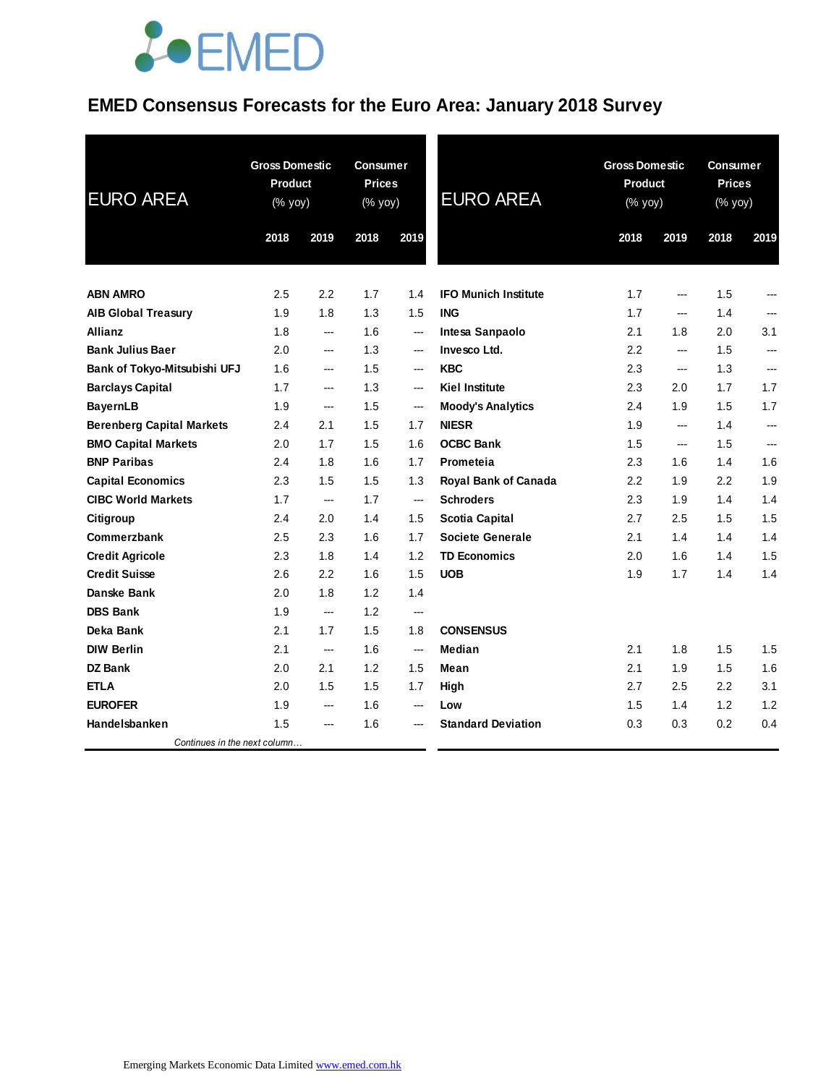### **EMED Consensus Forecasts for the Euro Area: January 2018 Survey**

| <b>EURO AREA</b>                    | <b>Gross Domestic</b><br><b>Product</b><br>(% yoy) |                          | <b>Consumer</b><br><b>Prices</b><br>(% yoy) |                          | <b>EURO AREA</b>            | <b>Gross Domestic</b><br><b>Product</b><br>(% yoy) |      | <b>Consumer</b><br><b>Prices</b><br>(% yoy) |                          |
|-------------------------------------|----------------------------------------------------|--------------------------|---------------------------------------------|--------------------------|-----------------------------|----------------------------------------------------|------|---------------------------------------------|--------------------------|
|                                     | 2018                                               | 2019                     | 2018                                        | 2019                     |                             | 2018                                               | 2019 | 2018                                        | 2019                     |
|                                     |                                                    |                          |                                             |                          |                             |                                                    |      |                                             |                          |
| <b>ABN AMRO</b>                     | $2.5\,$                                            | 2.2                      | 1.7                                         | 1.4                      | <b>IFO Munich Institute</b> | 1.7                                                | ---  | 1.5                                         | ---                      |
| <b>AIB Global Treasury</b>          | 1.9                                                | 1.8                      | 1.3                                         | 1.5                      | <b>ING</b>                  | 1.7                                                | ---  | 1.4                                         |                          |
| <b>Allianz</b>                      | 1.8                                                | ---                      | 1.6                                         | $\hspace{0.05cm} \ldots$ | Intesa Sanpaolo             | 2.1                                                | 1.8  | 2.0                                         | 3.1                      |
| <b>Bank Julius Baer</b>             | 2.0                                                | ---                      | 1.3                                         | $\hspace{0.05cm} \ldots$ | Invesco Ltd.                | 2.2                                                | ---  | 1.5                                         | ---                      |
| <b>Bank of Tokyo-Mitsubishi UFJ</b> | 1.6                                                | ---                      | 1.5                                         | ---                      | <b>KBC</b>                  | 2.3                                                | ---  | 1.3                                         | $\overline{\phantom{a}}$ |
| <b>Barclays Capital</b>             | 1.7                                                | ---                      | 1.3                                         | ---                      | <b>Kiel Institute</b>       | 2.3                                                | 2.0  | 1.7                                         | 1.7                      |
| <b>BayernLB</b>                     | 1.9                                                | ---                      | 1.5                                         | $\hspace{0.05cm} \ldots$ | <b>Moody's Analytics</b>    | 2.4                                                | 1.9  | 1.5                                         | 1.7                      |
| <b>Berenberg Capital Markets</b>    | 2.4                                                | 2.1                      | 1.5                                         | 1.7                      | <b>NIESR</b>                | 1.9                                                | ---  | 1.4                                         | ---                      |
| <b>BMO Capital Markets</b>          | 2.0                                                | 1.7                      | 1.5                                         | 1.6                      | <b>OCBC Bank</b>            | 1.5                                                | ---  | 1.5                                         | $\overline{a}$           |
| <b>BNP Paribas</b>                  | 2.4                                                | 1.8                      | 1.6                                         | 1.7                      | Prometeia                   | 2.3                                                | 1.6  | 1.4                                         | 1.6                      |
| <b>Capital Economics</b>            | 2.3                                                | 1.5                      | 1.5                                         | 1.3                      | Royal Bank of Canada        | 2.2                                                | 1.9  | $2.2\,$                                     | 1.9                      |
| <b>CIBC World Markets</b>           | 1.7                                                | $\overline{\phantom{a}}$ | 1.7                                         | $\hspace{0.05cm} \ldots$ | <b>Schroders</b>            | 2.3                                                | 1.9  | 1.4                                         | 1.4                      |
| Citigroup                           | 2.4                                                | 2.0                      | 1.4                                         | 1.5                      | <b>Scotia Capital</b>       | 2.7                                                | 2.5  | 1.5                                         | 1.5                      |
| Commerzbank                         | 2.5                                                | 2.3                      | 1.6                                         | 1.7                      | <b>Societe Generale</b>     | 2.1                                                | 1.4  | 1.4                                         | 1.4                      |
| <b>Credit Agricole</b>              | 2.3                                                | 1.8                      | 1.4                                         | 1.2                      | <b>TD Economics</b>         | 2.0                                                | 1.6  | 1.4                                         | 1.5                      |
| <b>Credit Suisse</b>                | 2.6                                                | 2.2                      | 1.6                                         | 1.5                      | <b>UOB</b>                  | 1.9                                                | 1.7  | 1.4                                         | 1.4                      |
| Danske Bank                         | 2.0                                                | 1.8                      | 1.2                                         | 1.4                      |                             |                                                    |      |                                             |                          |
| <b>DBS Bank</b>                     | 1.9                                                | ---                      | 1.2                                         | $\overline{\phantom{a}}$ |                             |                                                    |      |                                             |                          |
| Deka Bank                           | 2.1                                                | 1.7                      | 1.5                                         | 1.8                      | <b>CONSENSUS</b>            |                                                    |      |                                             |                          |
| <b>DIW Berlin</b>                   | 2.1                                                | ---                      | 1.6                                         | ---                      | Median                      | 2.1                                                | 1.8  | 1.5                                         | 1.5                      |
| <b>DZ Bank</b>                      | 2.0                                                | 2.1                      | 1.2                                         | 1.5                      | Mean                        | 2.1                                                | 1.9  | 1.5                                         | 1.6                      |
| <b>ETLA</b>                         | 2.0                                                | 1.5                      | 1.5                                         | 1.7                      | High                        | 2.7                                                | 2.5  | $2.2\,$                                     | 3.1                      |
| <b>EUROFER</b>                      | 1.9                                                | ---                      | 1.6                                         | ---                      | Low                         | 1.5                                                | 1.4  | 1.2                                         | 1.2                      |
| Handelsbanken                       | 1.5                                                | ---                      | 1.6                                         | ---                      | <b>Standard Deviation</b>   | 0.3                                                | 0.3  | 0.2                                         | 0.4                      |
| Continues in the next column        |                                                    |                          |                                             |                          |                             |                                                    |      |                                             |                          |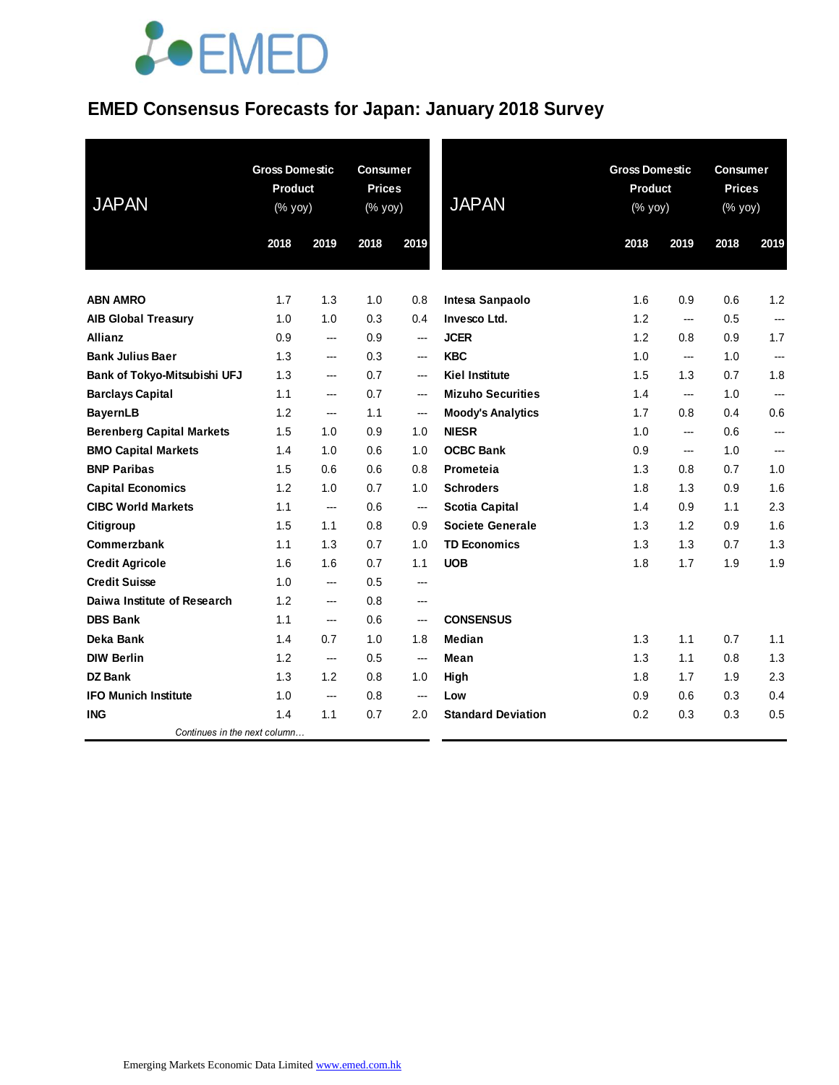### **EMED Consensus Forecasts for Japan: January 2018 Survey**

| <b>JAPAN</b>                     | <b>Gross Domestic</b><br>Product<br>(% yoy) |                          | <b>Consumer</b><br><b>Prices</b><br>(% yoy) |      | <b>JAPAN</b>              | <b>Gross Domestic</b><br><b>Product</b><br>(% yoy) |                | <b>Consumer</b><br><b>Prices</b><br>$(% \mathsf{Y}\rightarrow \mathsf{Y})$ (% yoy) |                          |
|----------------------------------|---------------------------------------------|--------------------------|---------------------------------------------|------|---------------------------|----------------------------------------------------|----------------|------------------------------------------------------------------------------------|--------------------------|
|                                  | 2018                                        | 2019                     | 2018                                        | 2019 |                           | 2018                                               | 2019           | 2018                                                                               | 2019                     |
|                                  |                                             |                          |                                             |      |                           |                                                    |                |                                                                                    |                          |
| <b>ABN AMRO</b>                  | 1.7                                         | 1.3                      | 1.0                                         | 0.8  | Intesa Sanpaolo           | 1.6                                                | 0.9            | 0.6                                                                                | 1.2                      |
| <b>AIB Global Treasury</b>       | 1.0                                         | 1.0                      | 0.3                                         | 0.4  | <b>Invesco Ltd.</b>       | 1.2                                                | ---            | 0.5                                                                                | $\overline{\phantom{a}}$ |
| <b>Allianz</b>                   | 0.9                                         | ---                      | 0.9                                         | ---  | <b>JCER</b>               | 1.2                                                | 0.8            | 0.9                                                                                | 1.7                      |
| <b>Bank Julius Baer</b>          | 1.3                                         | ---                      | 0.3                                         | ---  | <b>KBC</b>                | 1.0                                                | ---            | 1.0                                                                                | $\overline{a}$           |
| Bank of Tokyo-Mitsubishi UFJ     | 1.3                                         | ---                      | 0.7                                         | ---  | <b>Kiel Institute</b>     | 1.5                                                | 1.3            | 0.7                                                                                | 1.8                      |
| <b>Barclays Capital</b>          | 1.1                                         | ---                      | 0.7                                         | ---  | <b>Mizuho Securities</b>  | 1.4                                                | $---$          | 1.0                                                                                | $\overline{\phantom{a}}$ |
| <b>BayernLB</b>                  | 1.2                                         | ---                      | 1.1                                         | ---  | <b>Moody's Analytics</b>  | 1.7                                                | 0.8            | 0.4                                                                                | 0.6                      |
| <b>Berenberg Capital Markets</b> | 1.5                                         | 1.0                      | 0.9                                         | 1.0  | <b>NIESR</b>              | 1.0                                                | ---            | 0.6                                                                                | $---$                    |
| <b>BMO Capital Markets</b>       | 1.4                                         | 1.0                      | 0.6                                         | 1.0  | <b>OCBC Bank</b>          | 0.9                                                | $\overline{a}$ | 1.0                                                                                | $\overline{a}$           |
| <b>BNP Paribas</b>               | 1.5                                         | 0.6                      | 0.6                                         | 0.8  | Prometeia                 | 1.3                                                | 0.8            | 0.7                                                                                | 1.0                      |
| <b>Capital Economics</b>         | 1.2                                         | 1.0                      | 0.7                                         | 1.0  | <b>Schroders</b>          | 1.8                                                | 1.3            | 0.9                                                                                | 1.6                      |
| <b>CIBC World Markets</b>        | 1.1                                         | ---                      | 0.6                                         | ---  | <b>Scotia Capital</b>     | 1.4                                                | 0.9            | 1.1                                                                                | 2.3                      |
| Citigroup                        | 1.5                                         | 1.1                      | 0.8                                         | 0.9  | <b>Societe Generale</b>   | 1.3                                                | 1.2            | 0.9                                                                                | 1.6                      |
| Commerzbank                      | 1.1                                         | 1.3                      | 0.7                                         | 1.0  | <b>TD Economics</b>       | 1.3                                                | 1.3            | 0.7                                                                                | 1.3                      |
| <b>Credit Agricole</b>           | 1.6                                         | 1.6                      | 0.7                                         | 1.1  | <b>UOB</b>                | 1.8                                                | 1.7            | 1.9                                                                                | 1.9                      |
| <b>Credit Suisse</b>             | 1.0                                         | ---                      | 0.5                                         | ---  |                           |                                                    |                |                                                                                    |                          |
| Daiwa Institute of Research      | 1.2                                         | ---                      | 0.8                                         | ---  |                           |                                                    |                |                                                                                    |                          |
| <b>DBS Bank</b>                  | 1.1                                         | ---                      | 0.6                                         | ---  | <b>CONSENSUS</b>          |                                                    |                |                                                                                    |                          |
| Deka Bank                        | 1.4                                         | 0.7                      | 1.0                                         | 1.8  | <b>Median</b>             | 1.3                                                | 1.1            | 0.7                                                                                | 1.1                      |
| <b>DIW Berlin</b>                | 1.2                                         | $\overline{\phantom{a}}$ | 0.5                                         | ---  | Mean                      | 1.3                                                | 1.1            | 0.8                                                                                | 1.3                      |
| <b>DZ Bank</b>                   | 1.3                                         | 1.2                      | 0.8                                         | 1.0  | High                      | 1.8                                                | 1.7            | 1.9                                                                                | 2.3                      |
| <b>IFO Munich Institute</b>      | 1.0                                         | ---                      | 0.8                                         | ---  | Low                       | 0.9                                                | 0.6            | 0.3                                                                                | 0.4                      |
| <b>ING</b>                       | 1.4                                         | 1.1                      | 0.7                                         | 2.0  | <b>Standard Deviation</b> | 0.2                                                | 0.3            | 0.3                                                                                | 0.5                      |
| Continues in the next column     |                                             |                          |                                             |      |                           |                                                    |                |                                                                                    |                          |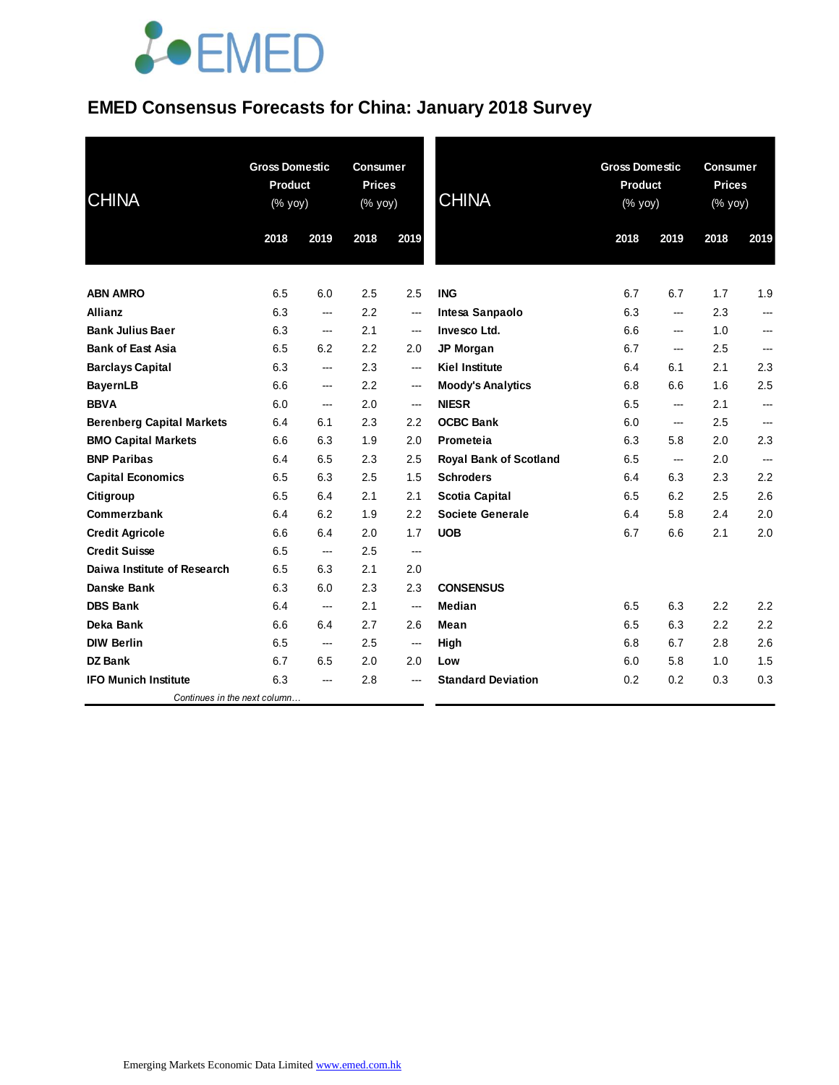#### **EMED Consensus Forecasts for China: January 2018 Survey**

| <b>CHINA</b>                     | <b>Gross Domestic</b><br><b>Product</b><br>(% yoy) |                          | <b>Consumer</b><br><b>Prices</b><br>(% yoy) |                          | <b>CHINA</b>                  | <b>Gross Domestic</b><br><b>Product</b><br>(% yoy) |                        | <b>Consumer</b><br><b>Prices</b><br>(% yoy) |       |
|----------------------------------|----------------------------------------------------|--------------------------|---------------------------------------------|--------------------------|-------------------------------|----------------------------------------------------|------------------------|---------------------------------------------|-------|
|                                  | 2018                                               | 2019                     | 2018                                        | 2019                     |                               | 2018                                               | 2019                   | 2018                                        | 2019  |
| <b>ABN AMRO</b>                  | 6.5                                                | 6.0                      | 2.5                                         | 2.5                      | <b>ING</b>                    | 6.7                                                | 6.7                    | 1.7                                         | 1.9   |
| <b>Allianz</b>                   | 6.3                                                | ---                      | 2.2                                         | $\hspace{0.05cm} \ldots$ | Intesa Sanpaolo               | 6.3                                                | ---                    | 2.3                                         |       |
| <b>Bank Julius Baer</b>          | 6.3                                                | ---                      | 2.1                                         | $\qquad \qquad \cdots$   | Invesco Ltd.                  | 6.6                                                | $\qquad \qquad \cdots$ | 1.0                                         | ---   |
| <b>Bank of East Asia</b>         | 6.5                                                | 6.2                      | 2.2                                         | 2.0                      | <b>JP Morgan</b>              | 6.7                                                | ---                    | 2.5                                         | ---   |
| <b>Barclays Capital</b>          | 6.3                                                | ---                      | 2.3                                         | $\overline{\phantom{a}}$ | <b>Kiel Institute</b>         | 6.4                                                | 6.1                    | 2.1                                         | 2.3   |
| <b>BayernLB</b>                  | 6.6                                                | ---                      | 2.2                                         | $\hspace{0.05cm} \ldots$ | <b>Moody's Analytics</b>      | 6.8                                                | 6.6                    | 1.6                                         | 2.5   |
| <b>BBVA</b>                      | 6.0                                                | $\overline{a}$           | 2.0                                         | $\overline{\phantom{a}}$ | <b>NIESR</b>                  | 6.5                                                | $---$                  | 2.1                                         | $---$ |
| <b>Berenberg Capital Markets</b> | 6.4                                                | 6.1                      | 2.3                                         | 2.2                      | <b>OCBC Bank</b>              | 6.0                                                | ---                    | 2.5                                         |       |
| <b>BMO Capital Markets</b>       | 6.6                                                | 6.3                      | 1.9                                         | 2.0                      | Prometeia                     | 6.3                                                | 5.8                    | 2.0                                         | 2.3   |
| <b>BNP Paribas</b>               | 6.4                                                | 6.5                      | 2.3                                         | 2.5                      | <b>Royal Bank of Scotland</b> | 6.5                                                | $\qquad \qquad \cdots$ | 2.0                                         | ---   |
| <b>Capital Economics</b>         | 6.5                                                | 6.3                      | 2.5                                         | 1.5                      | <b>Schroders</b>              | 6.4                                                | 6.3                    | 2.3                                         | 2.2   |
| Citigroup                        | 6.5                                                | 6.4                      | 2.1                                         | 2.1                      | Scotia Capital                | 6.5                                                | 6.2                    | 2.5                                         | 2.6   |
| Commerzbank                      | 6.4                                                | 6.2                      | 1.9                                         | 2.2                      | Societe Generale              | 6.4                                                | 5.8                    | 2.4                                         | 2.0   |
| <b>Credit Agricole</b>           | 6.6                                                | 6.4                      | 2.0                                         | 1.7                      | <b>UOB</b>                    | 6.7                                                | 6.6                    | 2.1                                         | 2.0   |
| <b>Credit Suisse</b>             | 6.5                                                | ---                      | 2.5                                         | $\overline{\phantom{a}}$ |                               |                                                    |                        |                                             |       |
| Daiwa Institute of Research      | 6.5                                                | 6.3                      | 2.1                                         | 2.0                      |                               |                                                    |                        |                                             |       |
| Danske Bank                      | 6.3                                                | 6.0                      | 2.3                                         | 2.3                      | <b>CONSENSUS</b>              |                                                    |                        |                                             |       |
| <b>DBS Bank</b>                  | 6.4                                                | ---                      | 2.1                                         | $\overline{\phantom{a}}$ | Median                        | 6.5                                                | 6.3                    | 2.2                                         | 2.2   |
| Deka Bank                        | 6.6                                                | 6.4                      | 2.7                                         | 2.6                      | Mean                          | 6.5                                                | 6.3                    | 2.2                                         | 2.2   |
| <b>DIW Berlin</b>                | 6.5                                                | $\overline{\phantom{a}}$ | 2.5                                         | $\overline{\phantom{a}}$ | High                          | 6.8                                                | 6.7                    | 2.8                                         | 2.6   |
| DZ Bank                          | 6.7                                                | 6.5                      | 2.0                                         | 2.0                      | Low                           | 6.0                                                | 5.8                    | 1.0                                         | 1.5   |
| <b>IFO Munich Institute</b>      | 6.3                                                | ---                      | 2.8                                         | $\overline{a}$           | <b>Standard Deviation</b>     | 0.2                                                | 0.2                    | 0.3                                         | 0.3   |
| Continues in the next column     |                                                    |                          |                                             |                          |                               |                                                    |                        |                                             |       |